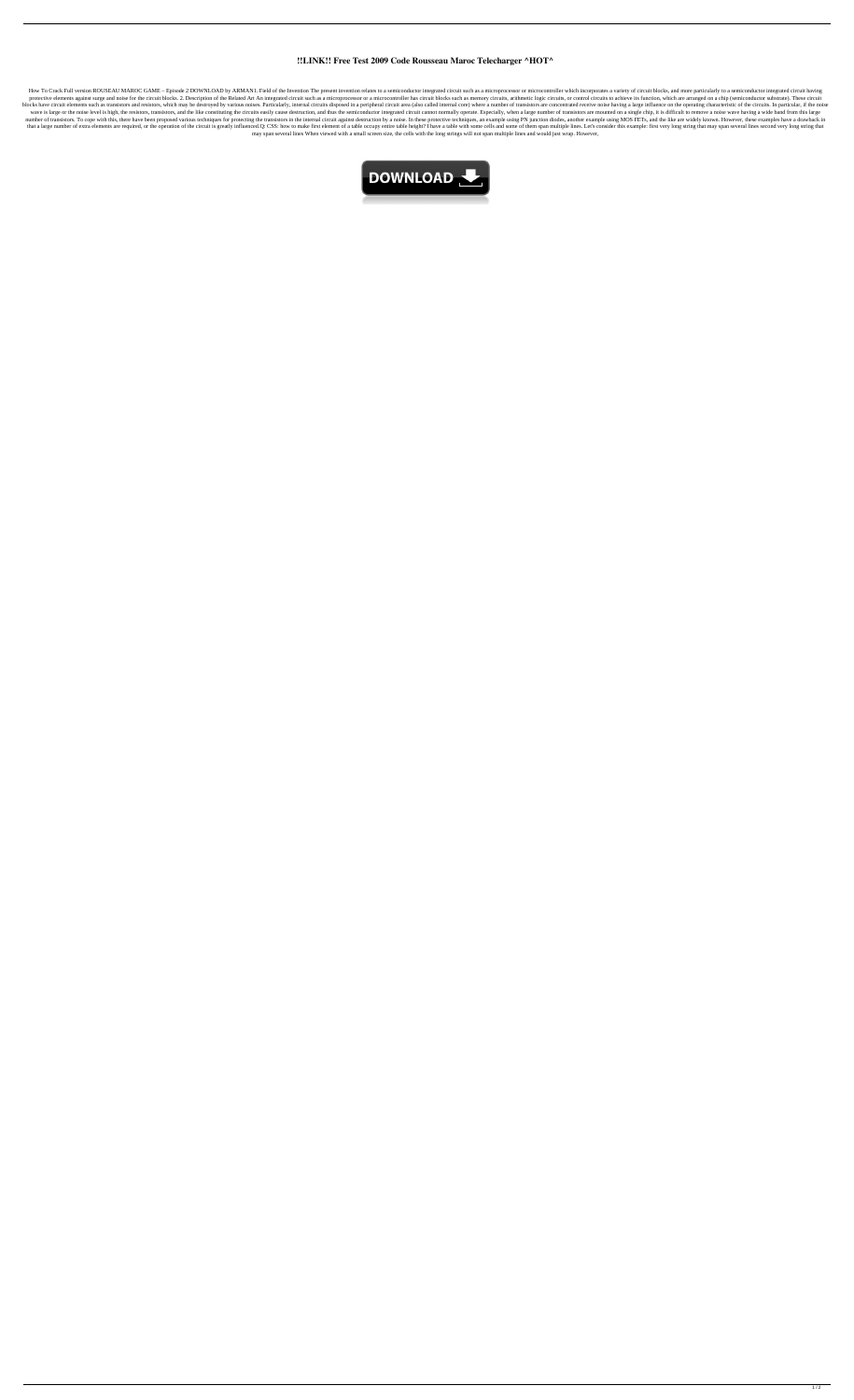## **!!LINK!! Free Test 2009 Code Rousseau Maroc Telecharger ^HOT^**

How To Crack Full version ROUSEAU MAROC GAME - Episode 2 DOWNLOAD by ARMAN1. Field of the Invention The present invention relates to a semiconductor integrated circuit such as a microprocessor or microcontroller which inco protective elements against surge and noise for the circuit blocks. 2. Description of the Related Art An integrated circuit such as a microprocessor or a microcontroller has circuit blocks such as memory circuits, arithmet blocks have circuit elements such as transistors and resistors, which may be destroyed by various noises. Particularly, internal circuits disposed in a peripheral circuit area (also called internal core) where a number of wave is large or the noise level is high, the resistors, transistors, and the like constituting the circuits easily cause destruction, and thus the semiconductor integrated circuit cannot normally operate. Especially, when number of transistors. To cope with this, there have been proposed various techniques for protecting the transistors in the internal circuit against destruction by a noise. In these protective techniques, an example using that a large number of extra elements are required, or the operation of the circuit is greatly influenced.Q: CSS: how to make first element of a table occupy entire table height? I have a table with some cells and some of may span several lines When viewed with a small screen size, the cells with the long strings will not span multiple lines and would just wrap. However,